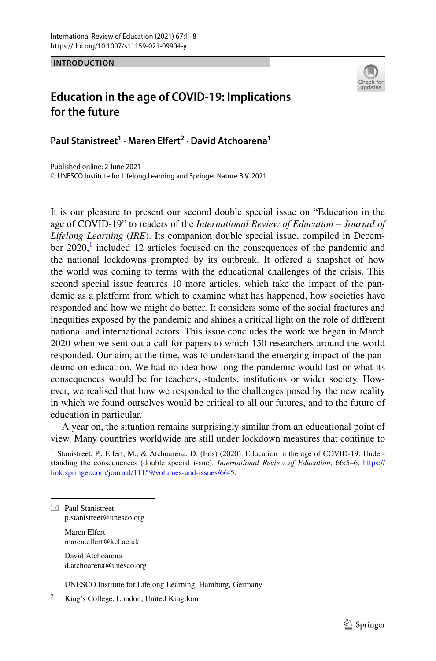**INTRODUCTION**



## **Education in the age of COVID‑19: Implications for the future**

**Paul Stanistreet<sup>1</sup> · Maren Elfert2 · David Atchoarena1**

Published online: 2 June 2021 © UNESCO Institute for Lifelong Learning and Springer Nature B.V. 2021

It is our pleasure to present our second double special issue on "Education in the age of COVID-19" to readers of the *International Review of Education – Journal of Lifelong Learning* (*IRE*). Its companion double special issue, compiled in December  $2020$ ,<sup>[1](#page-0-0)</sup> included 12 articles focused on the consequences of the pandemic and the national lockdowns prompted by its outbreak. It offered a snapshot of how the world was coming to terms with the educational challenges of the crisis. This second special issue features 10 more articles, which take the impact of the pandemic as a platform from which to examine what has happened, how societies have responded and how we might do better. It considers some of the social fractures and inequities exposed by the pandemic and shines a critical light on the role of diferent national and international actors. This issue concludes the work we began in March 2020 when we sent out a call for papers to which 150 researchers around the world responded. Our aim, at the time, was to understand the emerging impact of the pandemic on education. We had no idea how long the pandemic would last or what its consequences would be for teachers, students, institutions or wider society. However, we realised that how we responded to the challenges posed by the new reality in which we found ourselves would be critical to all our futures, and to the future of education in particular.

A year on, the situation remains surprisingly similar from an educational point of view. Many countries worldwide are still under lockdown measures that continue to

 $\boxtimes$  Paul Stanistreet p.stanistreet@unesco.org Maren Elfert maren.elfert@kcl.ac.uk

> David Atchoarena d.atchoarena@unesco.org

- <sup>1</sup> UNESCO Institute for Lifelong Learning, Hamburg, Germany
- <sup>2</sup> King's College, London, United Kingdom

<span id="page-0-0"></span><sup>&</sup>lt;sup>1</sup> Stanistreet, P., Elfert, M., & Atchoarena, D. (Eds) (2020). Education in the age of COVID-19: Understanding the consequences (double special issue). *International Review of Education*, 66:5–6. [https://](https://link.springer.com/journal/11159/volumes-and-issues/66-5) [link.springer.com/journal/11159/volumes-and-issues/66-5](https://link.springer.com/journal/11159/volumes-and-issues/66-5).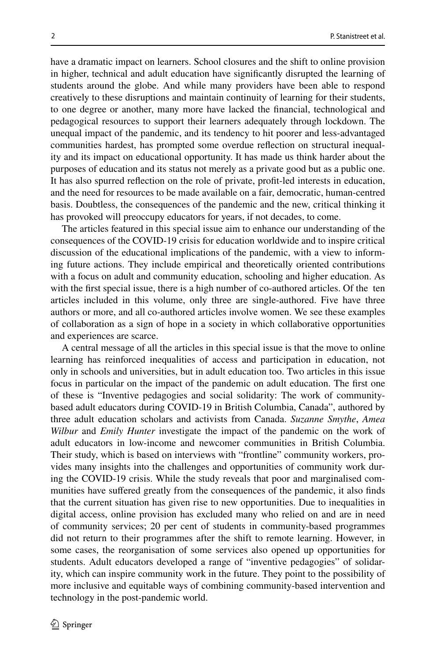have a dramatic impact on learners. School closures and the shift to online provision in higher, technical and adult education have signifcantly disrupted the learning of students around the globe. And while many providers have been able to respond creatively to these disruptions and maintain continuity of learning for their students, to one degree or another, many more have lacked the fnancial, technological and pedagogical resources to support their learners adequately through lockdown. The unequal impact of the pandemic, and its tendency to hit poorer and less-advantaged communities hardest, has prompted some overdue refection on structural inequality and its impact on educational opportunity. It has made us think harder about the purposes of education and its status not merely as a private good but as a public one. It has also spurred refection on the role of private, proft-led interests in education, and the need for resources to be made available on a fair, democratic, human-centred basis. Doubtless, the consequences of the pandemic and the new, critical thinking it has provoked will preoccupy educators for years, if not decades, to come.

The articles featured in this special issue aim to enhance our understanding of the consequences of the COVID-19 crisis for education worldwide and to inspire critical discussion of the educational implications of the pandemic, with a view to informing future actions. They include empirical and theoretically oriented contributions with a focus on adult and community education, schooling and higher education. As with the first special issue, there is a high number of co-authored articles. Of the ten articles included in this volume, only three are single-authored. Five have three authors or more, and all co-authored articles involve women. We see these examples of collaboration as a sign of hope in a society in which collaborative opportunities and experiences are scarce.

A central message of all the articles in this special issue is that the move to online learning has reinforced inequalities of access and participation in education, not only in schools and universities, but in adult education too. Two articles in this issue focus in particular on the impact of the pandemic on adult education. The frst one of these is "Inventive pedagogies and social solidarity: The work of communitybased adult educators during COVID-19 in British Columbia, Canada", authored by three adult education scholars and activists from Canada. *Suzanne Smythe*, *Amea Wilbur* and *Emily Hunter* investigate the impact of the pandemic on the work of adult educators in low-income and newcomer communities in British Columbia. Their study, which is based on interviews with "frontline" community workers, provides many insights into the challenges and opportunities of community work during the COVID-19 crisis. While the study reveals that poor and marginalised communities have sufered greatly from the consequences of the pandemic, it also fnds that the current situation has given rise to new opportunities. Due to inequalities in digital access, online provision has excluded many who relied on and are in need of community services; 20 per cent of students in community-based programmes did not return to their programmes after the shift to remote learning. However, in some cases, the reorganisation of some services also opened up opportunities for students. Adult educators developed a range of "inventive pedagogies" of solidarity, which can inspire community work in the future. They point to the possibility of more inclusive and equitable ways of combining community-based intervention and technology in the post-pandemic world.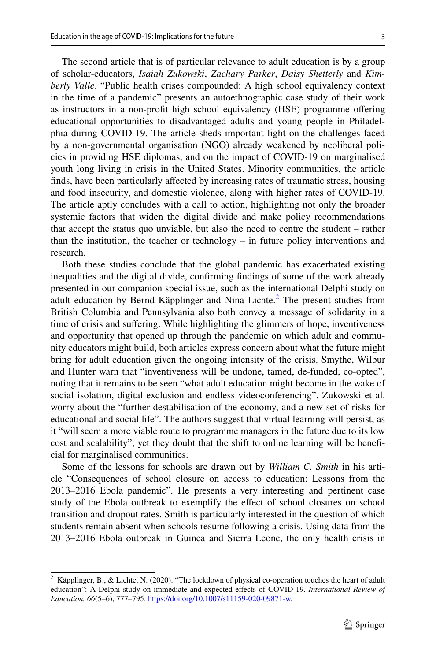The second article that is of particular relevance to adult education is by a group of scholar-educators, *Isaiah Zukowski*, *Zachary Parker*, *Daisy Shetterly* and *Kimberly Valle*. "Public health crises compounded: A high school equivalency context in the time of a pandemic" presents an autoethnographic case study of their work as instructors in a non-proft high school equivalency (HSE) programme ofering educational opportunities to disadvantaged adults and young people in Philadelphia during COVID-19. The article sheds important light on the challenges faced by a non-governmental organisation (NGO) already weakened by neoliberal policies in providing HSE diplomas, and on the impact of COVID-19 on marginalised youth long living in crisis in the United States. Minority communities, the article fnds, have been particularly afected by increasing rates of traumatic stress, housing and food insecurity, and domestic violence, along with higher rates of COVID-19. The article aptly concludes with a call to action, highlighting not only the broader systemic factors that widen the digital divide and make policy recommendations that accept the status quo unviable, but also the need to centre the student – rather than the institution, the teacher or technology – in future policy interventions and research.

Both these studies conclude that the global pandemic has exacerbated existing inequalities and the digital divide, confrming fndings of some of the work already presented in our companion special issue, such as the international Delphi study on adult education by Bernd Käpplinger and Nina Lichte.<sup>[2](#page-2-0)</sup> The present studies from British Columbia and Pennsylvania also both convey a message of solidarity in a time of crisis and sufering. While highlighting the glimmers of hope, inventiveness and opportunity that opened up through the pandemic on which adult and community educators might build, both articles express concern about what the future might bring for adult education given the ongoing intensity of the crisis. Smythe, Wilbur and Hunter warn that "inventiveness will be undone, tamed, de-funded, co-opted", noting that it remains to be seen "what adult education might become in the wake of social isolation, digital exclusion and endless videoconferencing". Zukowski et al. worry about the "further destabilisation of the economy, and a new set of risks for educational and social life". The authors suggest that virtual learning will persist, as it "will seem a more viable route to programme managers in the future due to its low cost and scalability", yet they doubt that the shift to online learning will be benefcial for marginalised communities.

Some of the lessons for schools are drawn out by *William C. Smith* in his article "Consequences of school closure on access to education: Lessons from the 2013–2016 Ebola pandemic". He presents a very interesting and pertinent case study of the Ebola outbreak to exemplify the efect of school closures on school transition and dropout rates. Smith is particularly interested in the question of which students remain absent when schools resume following a crisis. Using data from the 2013–2016 Ebola outbreak in Guinea and Sierra Leone, the only health crisis in

<span id="page-2-0"></span><sup>&</sup>lt;sup>2</sup> Käpplinger, B., & Lichte, N. (2020). "The lockdown of physical co-operation touches the heart of adult education": A Delphi study on immediate and expected efects of COVID-19. *International Review of Education, 66*(5–6), 777–795.<https://doi.org/10.1007/s11159-020-09871-w>.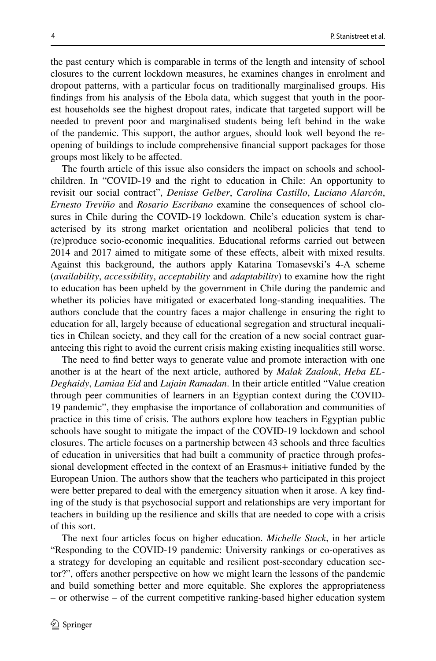the past century which is comparable in terms of the length and intensity of school closures to the current lockdown measures, he examines changes in enrolment and dropout patterns, with a particular focus on traditionally marginalised groups. His fndings from his analysis of the Ebola data, which suggest that youth in the poorest households see the highest dropout rates, indicate that targeted support will be needed to prevent poor and marginalised students being left behind in the wake of the pandemic. This support, the author argues, should look well beyond the reopening of buildings to include comprehensive fnancial support packages for those groups most likely to be afected.

The fourth article of this issue also considers the impact on schools and schoolchildren. In "COVID-19 and the right to education in Chile: An opportunity to revisit our social contract", *Denisse Gelber*, *Carolina Castillo*, *Luciano Alarcón*, *Ernesto Treviño* and *Rosario Escribano* examine the consequences of school closures in Chile during the COVID-19 lockdown. Chile's education system is characterised by its strong market orientation and neoliberal policies that tend to (re)produce socio-economic inequalities. Educational reforms carried out between 2014 and 2017 aimed to mitigate some of these efects, albeit with mixed results. Against this background, the authors apply Katarina Tomasevski's 4-A scheme (*availability*, *accessibility*, *acceptability* and *adaptability*) to examine how the right to education has been upheld by the government in Chile during the pandemic and whether its policies have mitigated or exacerbated long-standing inequalities. The authors conclude that the country faces a major challenge in ensuring the right to education for all, largely because of educational segregation and structural inequalities in Chilean society, and they call for the creation of a new social contract guaranteeing this right to avoid the current crisis making existing inequalities still worse.

The need to fnd better ways to generate value and promote interaction with one another is at the heart of the next article, authored by *Malak Zaalouk*, *Heba EL-Deghaidy*, *Lamiaa Eid* and *Lujain Ramadan*. In their article entitled "Value creation through peer communities of learners in an Egyptian context during the COVID-19 pandemic", they emphasise the importance of collaboration and communities of practice in this time of crisis. The authors explore how teachers in Egyptian public schools have sought to mitigate the impact of the COVID-19 lockdown and school closures. The article focuses on a partnership between 43 schools and three faculties of education in universities that had built a community of practice through professional development efected in the context of an Erasmus+ initiative funded by the European Union. The authors show that the teachers who participated in this project were better prepared to deal with the emergency situation when it arose. A key fnding of the study is that psychosocial support and relationships are very important for teachers in building up the resilience and skills that are needed to cope with a crisis of this sort.

The next four articles focus on higher education. *Michelle Stack*, in her article "Responding to the COVID-19 pandemic: University rankings or co-operatives as a strategy for developing an equitable and resilient post-secondary education sector?", ofers another perspective on how we might learn the lessons of the pandemic and build something better and more equitable. She explores the appropriateness – or otherwise – of the current competitive ranking-based higher education system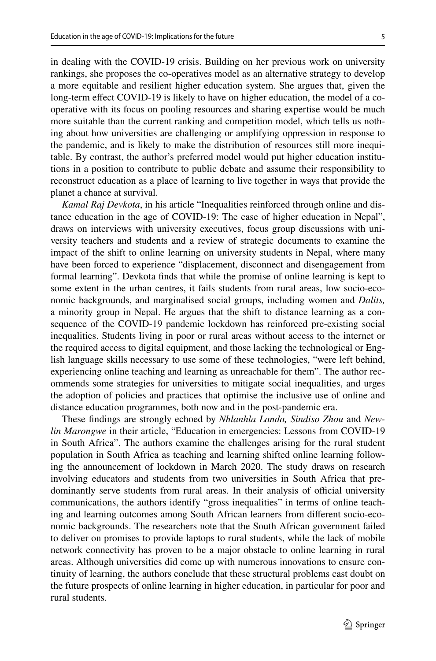in dealing with the COVID-19 crisis. Building on her previous work on university rankings, she proposes the co-operatives model as an alternative strategy to develop a more equitable and resilient higher education system. She argues that, given the long-term efect COVID-19 is likely to have on higher education, the model of a cooperative with its focus on pooling resources and sharing expertise would be much more suitable than the current ranking and competition model, which tells us nothing about how universities are challenging or amplifying oppression in response to the pandemic, and is likely to make the distribution of resources still more inequitable. By contrast, the author's preferred model would put higher education institutions in a position to contribute to public debate and assume their responsibility to reconstruct education as a place of learning to live together in ways that provide the planet a chance at survival.

*Kamal Raj Devkota*, in his article "Inequalities reinforced through online and distance education in the age of COVID-19: The case of higher education in Nepal", draws on interviews with university executives, focus group discussions with university teachers and students and a review of strategic documents to examine the impact of the shift to online learning on university students in Nepal, where many have been forced to experience "displacement, disconnect and disengagement from formal learning". Devkota fnds that while the promise of online learning is kept to some extent in the urban centres, it fails students from rural areas, low socio-economic backgrounds, and marginalised social groups, including women and *Dalits,* a minority group in Nepal. He argues that the shift to distance learning as a consequence of the COVID-19 pandemic lockdown has reinforced pre-existing social inequalities. Students living in poor or rural areas without access to the internet or the required access to digital equipment, and those lacking the technological or English language skills necessary to use some of these technologies, "were left behind, experiencing online teaching and learning as unreachable for them". The author recommends some strategies for universities to mitigate social inequalities, and urges the adoption of policies and practices that optimise the inclusive use of online and distance education programmes, both now and in the post-pandemic era.

These fndings are strongly echoed by *Nhlanhla Landa, Sindiso Zhou* and *Newlin Marongwe* in their article, "Education in emergencies: Lessons from COVID-19 in South Africa". The authors examine the challenges arising for the rural student population in South Africa as teaching and learning shifted online learning following the announcement of lockdown in March 2020. The study draws on research involving educators and students from two universities in South Africa that predominantly serve students from rural areas. In their analysis of official university communications, the authors identify "gross inequalities" in terms of online teaching and learning outcomes among South African learners from diferent socio-economic backgrounds. The researchers note that the South African government failed to deliver on promises to provide laptops to rural students, while the lack of mobile network connectivity has proven to be a major obstacle to online learning in rural areas. Although universities did come up with numerous innovations to ensure continuity of learning, the authors conclude that these structural problems cast doubt on the future prospects of online learning in higher education, in particular for poor and rural students.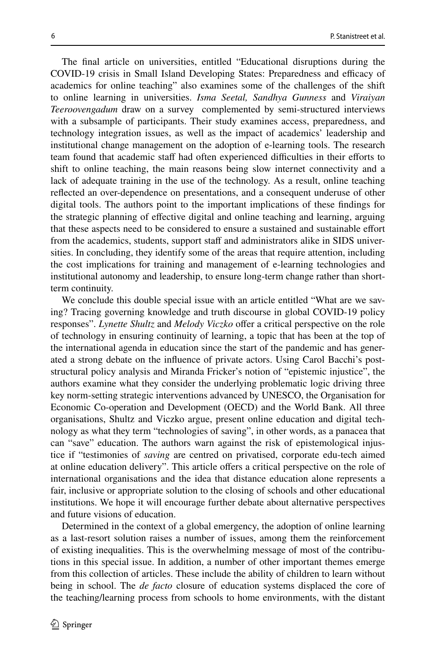The fnal article on universities, entitled "Educational disruptions during the COVID-19 crisis in Small Island Developing States: Preparedness and efficacy of academics for online teaching" also examines some of the challenges of the shift to online learning in universities. *Isma Seetal, Sandhya Gunness* and *Viraiyan Teeroovengadum* draw on a survey complemented by semi-structured interviews with a subsample of participants. Their study examines access, preparedness, and technology integration issues, as well as the impact of academics' leadership and institutional change management on the adoption of e-learning tools. The research team found that academic staff had often experienced difficulties in their efforts to shift to online teaching, the main reasons being slow internet connectivity and a lack of adequate training in the use of the technology. As a result, online teaching refected an over-dependence on presentations, and a consequent underuse of other digital tools. The authors point to the important implications of these fndings for the strategic planning of efective digital and online teaching and learning, arguing that these aspects need to be considered to ensure a sustained and sustainable efort from the academics, students, support staff and administrators alike in SIDS universities. In concluding, they identify some of the areas that require attention, including the cost implications for training and management of e-learning technologies and institutional autonomy and leadership, to ensure long-term change rather than shortterm continuity.

We conclude this double special issue with an article entitled "What are we saving? Tracing governing knowledge and truth discourse in global COVID-19 policy responses". *Lynette Shultz* and *Melody Viczko* offer a critical perspective on the role of technology in ensuring continuity of learning, a topic that has been at the top of the international agenda in education since the start of the pandemic and has generated a strong debate on the infuence of private actors. Using Carol Bacchi's poststructural policy analysis and Miranda Fricker's notion of "epistemic injustice", the authors examine what they consider the underlying problematic logic driving three key norm-setting strategic interventions advanced by UNESCO, the Organisation for Economic Co-operation and Development (OECD) and the World Bank. All three organisations, Shultz and Viczko argue, present online education and digital technology as what they term "technologies of saving", in other words, as a panacea that can "save" education. The authors warn against the risk of epistemological injustice if "testimonies of *saving* are centred on privatised, corporate edu-tech aimed at online education delivery". This article ofers a critical perspective on the role of international organisations and the idea that distance education alone represents a fair, inclusive or appropriate solution to the closing of schools and other educational institutions. We hope it will encourage further debate about alternative perspectives and future visions of education.

Determined in the context of a global emergency, the adoption of online learning as a last-resort solution raises a number of issues, among them the reinforcement of existing inequalities. This is the overwhelming message of most of the contributions in this special issue. In addition, a number of other important themes emerge from this collection of articles. These include the ability of children to learn without being in school. The *de facto* closure of education systems displaced the core of the teaching/learning process from schools to home environments, with the distant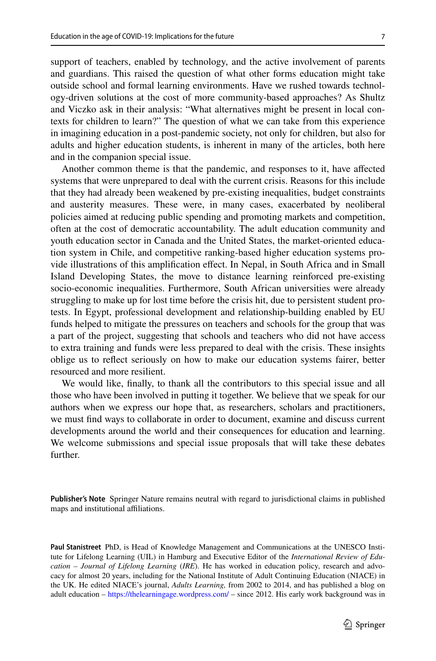support of teachers, enabled by technology, and the active involvement of parents and guardians. This raised the question of what other forms education might take outside school and formal learning environments. Have we rushed towards technology-driven solutions at the cost of more community-based approaches? As Shultz and Viczko ask in their analysis: "What alternatives might be present in local contexts for children to learn?" The question of what we can take from this experience in imagining education in a post-pandemic society, not only for children, but also for adults and higher education students, is inherent in many of the articles, both here and in the companion special issue.

Another common theme is that the pandemic, and responses to it, have afected systems that were unprepared to deal with the current crisis. Reasons for this include that they had already been weakened by pre-existing inequalities, budget constraints and austerity measures. These were, in many cases, exacerbated by neoliberal policies aimed at reducing public spending and promoting markets and competition, often at the cost of democratic accountability. The adult education community and youth education sector in Canada and the United States, the market-oriented education system in Chile, and competitive ranking-based higher education systems provide illustrations of this amplifcation efect. In Nepal, in South Africa and in Small Island Developing States, the move to distance learning reinforced pre-existing socio-economic inequalities. Furthermore, South African universities were already struggling to make up for lost time before the crisis hit, due to persistent student protests. In Egypt, professional development and relationship-building enabled by EU funds helped to mitigate the pressures on teachers and schools for the group that was a part of the project, suggesting that schools and teachers who did not have access to extra training and funds were less prepared to deal with the crisis. These insights oblige us to refect seriously on how to make our education systems fairer, better resourced and more resilient.

We would like, fnally, to thank all the contributors to this special issue and all those who have been involved in putting it together. We believe that we speak for our authors when we express our hope that, as researchers, scholars and practitioners, we must fnd ways to collaborate in order to document, examine and discuss current developments around the world and their consequences for education and learning. We welcome submissions and special issue proposals that will take these debates further.

**Publisher's Note** Springer Nature remains neutral with regard to jurisdictional claims in published maps and institutional affiliations.

**Paul Stanistreet** PhD, is Head of Knowledge Management and Communications at the UNESCO Institute for Lifelong Learning (UIL) in Hamburg and Executive Editor of the *International Review of Education – Journal of Lifelong Learning* (*IRE*). He has worked in education policy, research and advocacy for almost 20 years, including for the National Institute of Adult Continuing Education (NIACE) in the UK. He edited NIACE's journal, *Adults Learning,* from 2002 to 2014, and has published a blog on adult education – <https://thelearningage.wordpress.com/>– since 2012. His early work background was in